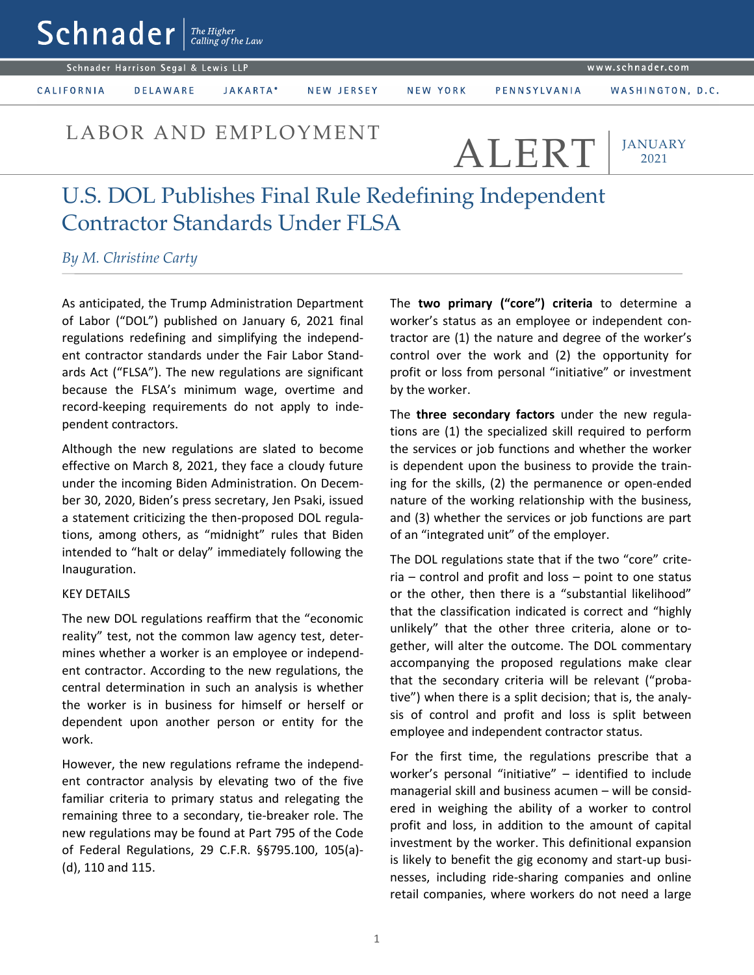Schnader Harrison Segal & Lewis LLP

 $\mathsf{Sch}$ nader  $\lceil \frac{\mathit{The Higher}}{\mathit{Calling of the Law}} \rceil$ 

CALIFORNIA

JAKARTA\* **DELAWARE** 

NEW JERSEY

NEW YORK

WASHINGTON, D.C.

LABOR AND EMPLOYMENT ALERT

**JANUARY** 2021

# U.S. DOL Publishes Final Rule Redefining Independent Contractor Standards Under FLSA

## *By M. Christine Carty*

As anticipated, the Trump Administration Department of Labor ("DOL") published on January 6, 2021 final regulations redefining and simplifying the independent contractor standards under the Fair Labor Standards Act ("FLSA"). The new regulations are significant because the FLSA's minimum wage, overtime and record-keeping requirements do not apply to independent contractors.

Although the new regulations are slated to become effective on March 8, 2021, they face a cloudy future under the incoming Biden Administration. On December 30, 2020, Biden's press secretary, Jen Psaki, issued a statement criticizing the then-proposed DOL regulations, among others, as "midnight" rules that Biden intended to "halt or delay" immediately following the Inauguration.

#### KEY DETAILS

The new DOL regulations reaffirm that the "economic reality" test, not the common law agency test, determines whether a worker is an employee or independent contractor. According to the new regulations, the central determination in such an analysis is whether the worker is in business for himself or herself or dependent upon another person or entity for the work.

However, the new regulations reframe the independent contractor analysis by elevating two of the five familiar criteria to primary status and relegating the remaining three to a secondary, tie-breaker role. The new regulations may be found at Part 795 of the Code of Federal Regulations, 29 C.F.R. §§795.100, 105(a)- (d), 110 and 115.

The **two primary ("core") criteria** to determine a worker's status as an employee or independent contractor are (1) the nature and degree of the worker's control over the work and (2) the opportunity for profit or loss from personal "initiative" or investment by the worker.

The **three secondary factors** under the new regulations are (1) the specialized skill required to perform the services or job functions and whether the worker is dependent upon the business to provide the training for the skills, (2) the permanence or open-ended nature of the working relationship with the business, and (3) whether the services or job functions are part of an "integrated unit" of the employer.

The DOL regulations state that if the two "core" criteria – control and profit and loss – point to one status or the other, then there is a "substantial likelihood" that the classification indicated is correct and "highly unlikely" that the other three criteria, alone or together, will alter the outcome. The DOL commentary accompanying the proposed regulations make clear that the secondary criteria will be relevant ("probative") when there is a split decision; that is, the analysis of control and profit and loss is split between employee and independent contractor status.

For the first time, the regulations prescribe that a worker's personal "initiative" – identified to include managerial skill and business acumen – will be considered in weighing the ability of a worker to control profit and loss, in addition to the amount of capital investment by the worker. This definitional expansion is likely to benefit the gig economy and start-up businesses, including ride-sharing companies and online retail companies, where workers do not need a large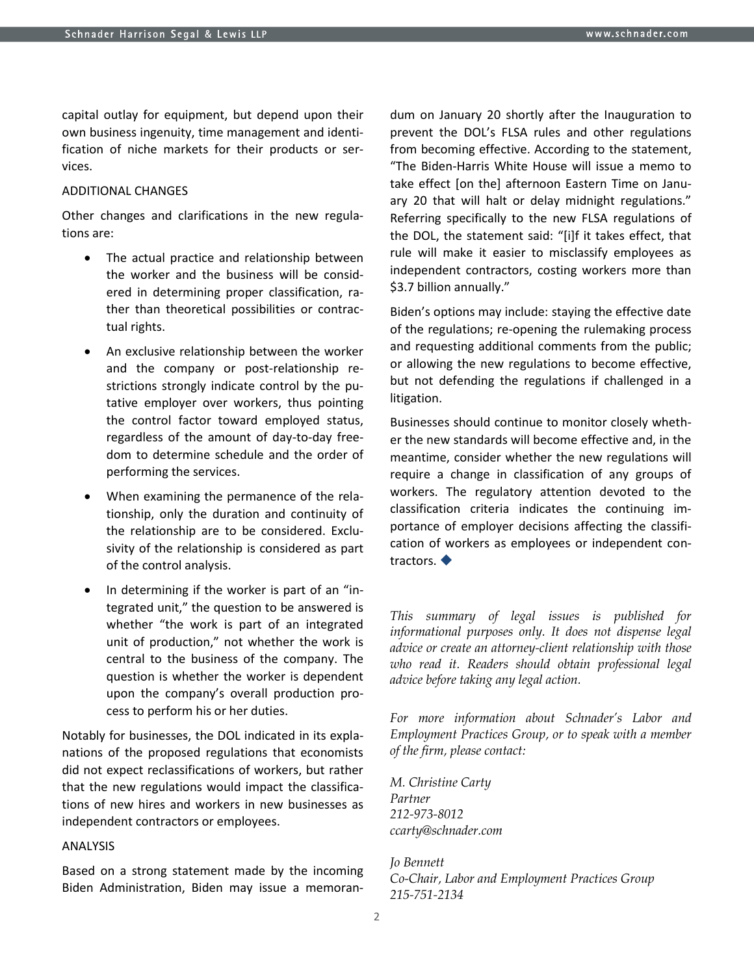capital outlay for equipment, but depend upon their own business ingenuity, time management and identification of niche markets for their products or services.

#### ADDITIONAL CHANGES

Other changes and clarifications in the new regulations are:

- The actual practice and relationship between the worker and the business will be considered in determining proper classification, rather than theoretical possibilities or contractual rights.
- An exclusive relationship between the worker and the company or post-relationship restrictions strongly indicate control by the putative employer over workers, thus pointing the control factor toward employed status, regardless of the amount of day-to-day freedom to determine schedule and the order of performing the services.
- When examining the permanence of the relationship, only the duration and continuity of the relationship are to be considered. Exclusivity of the relationship is considered as part of the control analysis.
- In determining if the worker is part of an "integrated unit," the question to be answered is whether "the work is part of an integrated unit of production," not whether the work is central to the business of the company. The question is whether the worker is dependent upon the company's overall production process to perform his or her duties.

Notably for businesses, the DOL indicated in its explanations of the proposed regulations that economists did not expect reclassifications of workers, but rather that the new regulations would impact the classifications of new hires and workers in new businesses as independent contractors or employees.

### ANALYSIS

Based on a strong statement made by the incoming Biden Administration, Biden may issue a memorandum on January 20 shortly after the Inauguration to prevent the DOL's FLSA rules and other regulations from becoming effective. According to the statement, "The Biden-Harris White House will issue a memo to take effect [on the] afternoon Eastern Time on January 20 that will halt or delay midnight regulations." Referring specifically to the new FLSA regulations of the DOL, the statement said: "[i]f it takes effect, that rule will make it easier to misclassify employees as independent contractors, costing workers more than \$3.7 billion annually."

Biden's options may include: staying the effective date of the regulations; re-opening the rulemaking process and requesting additional comments from the public; or allowing the new regulations to become effective, but not defending the regulations if challenged in a litigation.

Businesses should continue to monitor closely whether the new standards will become effective and, in the meantime, consider whether the new regulations will require a change in classification of any groups of workers. The regulatory attention devoted to the classification criteria indicates the continuing importance of employer decisions affecting the classification of workers as employees or independent contractors.  $\blacklozenge$ 

*This summary of legal issues is published for informational purposes only. It does not dispense legal advice or create an attorney-client relationship with those who read it. Readers should obtain professional legal advice before taking any legal action.*

*For more information about Schnader's Labor and Employment Practices Group, or to speak with a member of the firm, please contact:*

*M. Christine Carty Partner 212-973-8012 ccarty@schnader.com*

*Jo Bennett Co-Chair, Labor and Employment Practices Group 215-751-2134*